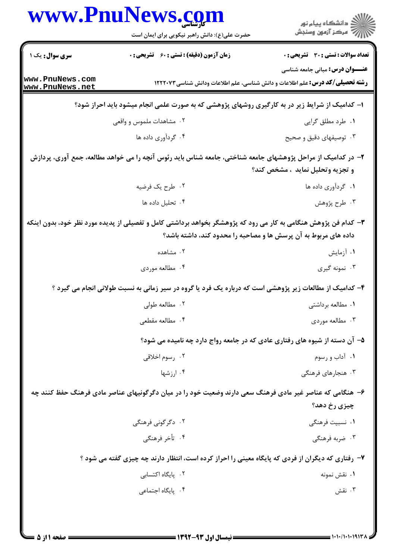|                                    | حضرت علی(ع): دانش راهبر نیکویی برای ایمان است                                                                                                                                      | ِ<br>∭ دانشڪاه پيام نور<br>∭ مرڪز آزمون وسنڊش |
|------------------------------------|------------------------------------------------------------------------------------------------------------------------------------------------------------------------------------|-----------------------------------------------|
| <b>سری سوال :</b> یک ۱             | زمان آزمون (دقیقه) : تستی : 60 ٪ تشریحی : 0                                                                                                                                        | <b>تعداد سوالات : تستی : 30 ٪ تشریحی : 0</b>  |
| www.PnuNews.com<br>www.PnuNews.net | <b>رشته تحصیلی/کد درس:</b> علم اطلاعات و دانش شناسی، علم اطلاعات ودانش شناسی ۱۲۲۲۰۷۳                                                                                               | <b>عنـــوان درس:</b> مبانی جامعه شناسی        |
|                                    | ا– کدامیک از شرایط زیر در به کارگیری روشهای پژوهشی که به صورت علمی انجام میشود باید احراز شود؟                                                                                     |                                               |
|                                    | ۰۲ مشاهدات ملموس و واقعی                                                                                                                                                           | ۰۱ طرد مطلق گرایی                             |
|                                    | ۰۴ گردآوری داده ها                                                                                                                                                                 | ۰۳ توصیفهای دقیق و صحیح                       |
|                                    | ۲– در کدامیک از مراحل پژوهشهای جامعه شناختی، جامعه شناس باید رئوس آنچه را می خواهد مطالعه، جمع آوری، پردازش                                                                        | و تجزيه وتحليل نمايد ، مشخص كند؟              |
|                                    | ۰۲ طرح یک فرضیه                                                                                                                                                                    | ۰۱ گردآوری داده ها                            |
|                                    | ۰۴ تحليل داده ها                                                                                                                                                                   | ۰۳ طرح پژوهش                                  |
|                                    | ۳- کدام فن پژوهش هنگامی به کار می رود که پژوهشگر بخواهد برداشتی کامل و تفصیلی از پدیده مورد نظر خود، بدون اینکه<br>داده های مربوط به آن پرسش ها و مصاحبه را محدود کند، داشته باشد؟ |                                               |
|                                    | ۰۲ مشاهده                                                                                                                                                                          | ۰۱ آزمایش                                     |
|                                    | ۰۴ مطالعه موردي                                                                                                                                                                    | ۰۳ نمونه گیری                                 |
|                                    | ۴- کدامیک از مطالعات زیر پژوهشی است که درباره یک فرد یا گروه در سیر زمانی به نسبت طولانی انجام می گیرد ؟                                                                           |                                               |
|                                    | ۰۲ مطالعه طولی                                                                                                                                                                     | ۰۱ مطالعه برداشتی                             |
|                                    | ۰۴ مطالعه مقطعی                                                                                                                                                                    | ۰۳ مطالعه موردی                               |
|                                    | ۵– آن دسته از شیوه های رفتاری عادی که در جامعه رواج دارد چه نامیده می شود؟                                                                                                         |                                               |
|                                    | ۰۲ رسوم اخلاق <i>ی</i>                                                                                                                                                             | ۰۱ آداب و رسوم                                |
|                                    | ۰۴ ارزشها                                                                                                                                                                          | ۰۳ هنجارهای فرهنگی                            |
|                                    | ۶– هنگامی که عناصر غیر مادی فرهنگ سعی دارند وضعیت خود را در میان دگرگونیهای عناصر مادی فرهنگ حفظ کنند چه                                                                           | چیزی رخ دهد؟                                  |
|                                    | ۰۲ دگرگونی فرهنگی                                                                                                                                                                  | ۰۱ نسبیت فرهنگی                               |
|                                    | ۰۴ تأخر فرهنگی                                                                                                                                                                     | ۰۳ ضربه فرهنگی                                |
|                                    | ۷- رفتاری که دیگران از فردی که پایگاه معینی را احراز کرده است، انتظار دارند چه چیزی گفته می شود ؟                                                                                  |                                               |
|                                    | ۰۲ یایگاه اکتسابی                                                                                                                                                                  | ۰۱ نقش نمونه                                  |
|                                    | ۰۴ پایگاه اجتما <i>عی</i>                                                                                                                                                          | ۰۳ نقش                                        |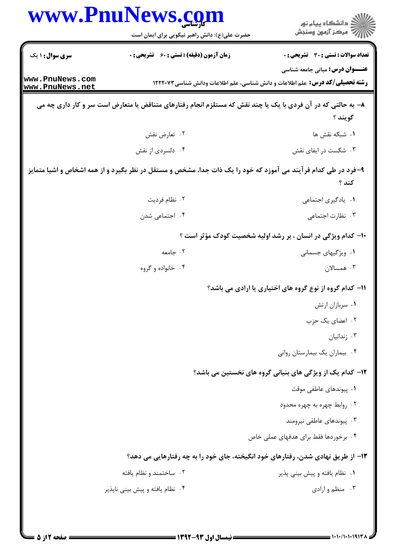|                        | www.PnuNews.com                               |                                                                                                                              |
|------------------------|-----------------------------------------------|------------------------------------------------------------------------------------------------------------------------------|
|                        | حضرت علی(ع): دانش راهبر نیکویی برای ایمان است | ڪ دانشڪاه پيام نور<br>ر∕⊂ مرڪز آزمون وسنڊش                                                                                   |
| <b>سری سوال : ۱ یک</b> | زمان آزمون (دقیقه) : تستی : 60 ٪ تشریحی : 0   | تعداد سوالات : تستي : 30 ٪ تشريحي : 0                                                                                        |
| www.PnuNews.com        |                                               | <b>عنـــوان درس:</b> مبانی جامعه شناسی<br><b>رشته تحصیلی/کد درس:</b> علم اطلاعات و دانش شناسی، علم اطلاعات ودانش شناسی۲۲۲۰۷۳ |
| www.PnuNews.net        |                                               |                                                                                                                              |
|                        |                                               | ۸– به حالتی که در آن فردی با یک یا چند نقش که مستلزم انجام رفتارهای متناقض یا متعارض است سر و کار داری چه می<br>گويند ؟      |
|                        | ۰۲ تعارض نقش                                  | <b>۱.</b> شبکه نقش ها                                                                                                        |
|                        | ۰۴ دلسردي از نقش                              | ۰۳ شکست در ایفای نقش                                                                                                         |
|                        |                                               | ۹- فرد در طی کدام فر آیند می آموزد که خود را یک ذات جدا، مشخص و مستقل در نظر بگیرد و از همه اشخاص و اشیا متمایز              |
|                        |                                               | کند ؟                                                                                                                        |
|                        | ۰۲ نظام فرديت                                 | ٠١. يادگيري اجتماعي                                                                                                          |
|                        | ۰۴ اجتماعی شدن                                | ۰۳ نظارت اجتماعی                                                                                                             |
|                        |                                               | ۱۰- کدام ویژگی در انسان ، بر رشد اولیه شخصیت کودک مؤثر است ؟                                                                 |
|                        | ۰۲ جامعه                                      | ۰۱ ویژگیهای جسمانی                                                                                                           |
|                        | ۰۴ خانواده و گروه                             | ۰۳ همسالان                                                                                                                   |
|                        |                                               | 11- کدام گروه از نوع گروه های اختیاری یا ارادی می باشد؟                                                                      |
|                        |                                               | ۰۱ سربازان ارتش                                                                                                              |
|                        |                                               | ۰۲ اعضای یک حزب                                                                                                              |
|                        |                                               | ۰۳ زندانیان                                                                                                                  |
|                        |                                               | ۰۴ بیماران یک بیمارستان روانی                                                                                                |
|                        |                                               | <b>۱۲</b> - کدام یک از ویژگی های بنیانی گروه های نخستین می باشد؟                                                             |
|                        |                                               | ۰۱ پیوندهای عاطفی موقت                                                                                                       |
|                        |                                               | ۰۲ روابط چهره به چهره محدود                                                                                                  |
|                        |                                               | ۰۳ پیوندهای عاطفی نیرومند                                                                                                    |
|                        |                                               | ۴ . برخوردها فقط براي هدفهاي عملي خاص                                                                                        |
|                        |                                               | ۱۳– از طریق نهادی شدن، رفتارهای خود انگیخته، جای خود را به چه رفتارهایی می دهد؟                                              |
|                        | ۰۲ ساختمند و نظام یافته                       | ۰۱ نظام یافته و پیش بینی پذیر                                                                                                |
|                        | ۰۴ نظام یافته و پیش بینی ناپذیر               | ۰۳ منظم و ارادی                                                                                                              |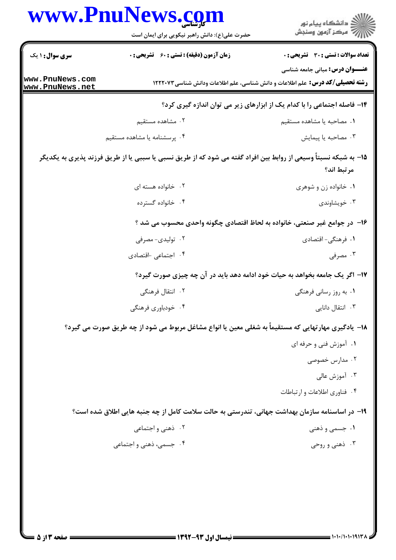| <b>زمان آزمون (دقیقه) : تستی : 60 ٪ تشریحی : 0</b><br><b>رشته تحصیلی/کد درس:</b> علم اطلاعات و دانش شناسی، علم اطلاعات ودانش شناسی ۱۲۲۲۰۷۳<br>۱۴- فاصله اجتماعی را با کدام یک از ابزارهای زیر می توان اندازه گیری کرد؟<br>۰۲ مشاهده مستقیم<br>٠١. مصاحبه يا مشاهده مستقيم<br>۰۴ پرسشنامه یا مشاهده مستقیم<br>۰۳ مصاحبه یا پیمایش<br>1۵– به شبکه نسبتاً وسیعی از روابط بین افراد گفته می شود که از طریق نسبی یا سببی یا از طریق فرزند پذیری به یکدیگر<br>مرتبط اند؟<br>۰۲ خانواده هسته ای<br>۰۱ خانواده زن و شوهری<br>۰۴ خانواده گسترده<br>۰۳ خویشاوندی<br>۱۶- در جوامع غیر صنعتی، خانواده به لحاظ اقتصادی چگونه واحدی محسوب می شد ؟<br>۰۲ تولیدی- مصرفی<br>۰۱ فرهنگی- اقتصادی<br>۰۴ اجتماعی اقتصادی<br>۰۳ مصرفی<br>۱۷– اگر یک جامعه بخواهد به حیات خود ادامه دهد باید در آن چه چیزی صورت گیرد؟<br>۲. انتقال فرهنگی<br>۰۱ به روز رسانی فرهنگی<br>۰۴ خودباوری فرهنگی<br>۰۳ انتقال دانایی<br>۱۸- یادگیری مهارتهایی که مستقیماً به شغلی معین یا انواع مشاغل مربوط می شود از چه طریق صورت می گیرد؟<br>۰۱ آموزش فنی و حرفه ای<br>۰۲ مدارس خصوصی<br>۰۳ آموزش عالی<br>۰۴ فناوری اطلاعات و ارتباطات<br>۱۹- در اساسنامه سازمان بهداشت جهانی، تندرستی به حالت سلامت کامل از چه جنبه هایی اطلاق شده است؟<br>۰۲ ذهنی و اجتما <i>عی</i><br>۰۱ جسمی و ذهنی<br>۰۳ ذهني و روحي<br>۰۴ جسمی، ذهنی و اجتماعی |                 | www.PnuNews.com<br>حضرت علی(ع): دانش راهبر نیکویی برای ایمان است | ڪ دانشڪاه پيا <sub>م</sub> نور<br>۾ سرڪز آزمون وسنڊش |
|------------------------------------------------------------------------------------------------------------------------------------------------------------------------------------------------------------------------------------------------------------------------------------------------------------------------------------------------------------------------------------------------------------------------------------------------------------------------------------------------------------------------------------------------------------------------------------------------------------------------------------------------------------------------------------------------------------------------------------------------------------------------------------------------------------------------------------------------------------------------------------------------------------------------------------------------------------------------------------------------------------------------------------------------------------------------------------------------------------------------------------------------------------------------------------------------------------------------------------------------------------------------------------------|-----------------|------------------------------------------------------------------|------------------------------------------------------|
|                                                                                                                                                                                                                                                                                                                                                                                                                                                                                                                                                                                                                                                                                                                                                                                                                                                                                                                                                                                                                                                                                                                                                                                                                                                                                          | سری سوال: ۱ یک  |                                                                  | تعداد سوالات : تستى : 30 قشريحى : 0                  |
|                                                                                                                                                                                                                                                                                                                                                                                                                                                                                                                                                                                                                                                                                                                                                                                                                                                                                                                                                                                                                                                                                                                                                                                                                                                                                          | www.PnuNews.com |                                                                  | <b>عنـــوان درس:</b> مبانی جامعه شناسی               |
|                                                                                                                                                                                                                                                                                                                                                                                                                                                                                                                                                                                                                                                                                                                                                                                                                                                                                                                                                                                                                                                                                                                                                                                                                                                                                          | www.PnuNews.net |                                                                  |                                                      |
|                                                                                                                                                                                                                                                                                                                                                                                                                                                                                                                                                                                                                                                                                                                                                                                                                                                                                                                                                                                                                                                                                                                                                                                                                                                                                          |                 |                                                                  |                                                      |
|                                                                                                                                                                                                                                                                                                                                                                                                                                                                                                                                                                                                                                                                                                                                                                                                                                                                                                                                                                                                                                                                                                                                                                                                                                                                                          |                 |                                                                  |                                                      |
|                                                                                                                                                                                                                                                                                                                                                                                                                                                                                                                                                                                                                                                                                                                                                                                                                                                                                                                                                                                                                                                                                                                                                                                                                                                                                          |                 |                                                                  |                                                      |
|                                                                                                                                                                                                                                                                                                                                                                                                                                                                                                                                                                                                                                                                                                                                                                                                                                                                                                                                                                                                                                                                                                                                                                                                                                                                                          |                 |                                                                  |                                                      |
|                                                                                                                                                                                                                                                                                                                                                                                                                                                                                                                                                                                                                                                                                                                                                                                                                                                                                                                                                                                                                                                                                                                                                                                                                                                                                          |                 |                                                                  |                                                      |
|                                                                                                                                                                                                                                                                                                                                                                                                                                                                                                                                                                                                                                                                                                                                                                                                                                                                                                                                                                                                                                                                                                                                                                                                                                                                                          |                 |                                                                  |                                                      |
|                                                                                                                                                                                                                                                                                                                                                                                                                                                                                                                                                                                                                                                                                                                                                                                                                                                                                                                                                                                                                                                                                                                                                                                                                                                                                          |                 |                                                                  |                                                      |
|                                                                                                                                                                                                                                                                                                                                                                                                                                                                                                                                                                                                                                                                                                                                                                                                                                                                                                                                                                                                                                                                                                                                                                                                                                                                                          |                 |                                                                  |                                                      |
|                                                                                                                                                                                                                                                                                                                                                                                                                                                                                                                                                                                                                                                                                                                                                                                                                                                                                                                                                                                                                                                                                                                                                                                                                                                                                          |                 |                                                                  |                                                      |
|                                                                                                                                                                                                                                                                                                                                                                                                                                                                                                                                                                                                                                                                                                                                                                                                                                                                                                                                                                                                                                                                                                                                                                                                                                                                                          |                 |                                                                  |                                                      |
|                                                                                                                                                                                                                                                                                                                                                                                                                                                                                                                                                                                                                                                                                                                                                                                                                                                                                                                                                                                                                                                                                                                                                                                                                                                                                          |                 |                                                                  |                                                      |
|                                                                                                                                                                                                                                                                                                                                                                                                                                                                                                                                                                                                                                                                                                                                                                                                                                                                                                                                                                                                                                                                                                                                                                                                                                                                                          |                 |                                                                  |                                                      |
|                                                                                                                                                                                                                                                                                                                                                                                                                                                                                                                                                                                                                                                                                                                                                                                                                                                                                                                                                                                                                                                                                                                                                                                                                                                                                          |                 |                                                                  |                                                      |
|                                                                                                                                                                                                                                                                                                                                                                                                                                                                                                                                                                                                                                                                                                                                                                                                                                                                                                                                                                                                                                                                                                                                                                                                                                                                                          |                 |                                                                  |                                                      |
|                                                                                                                                                                                                                                                                                                                                                                                                                                                                                                                                                                                                                                                                                                                                                                                                                                                                                                                                                                                                                                                                                                                                                                                                                                                                                          |                 |                                                                  |                                                      |
|                                                                                                                                                                                                                                                                                                                                                                                                                                                                                                                                                                                                                                                                                                                                                                                                                                                                                                                                                                                                                                                                                                                                                                                                                                                                                          |                 |                                                                  |                                                      |
|                                                                                                                                                                                                                                                                                                                                                                                                                                                                                                                                                                                                                                                                                                                                                                                                                                                                                                                                                                                                                                                                                                                                                                                                                                                                                          |                 |                                                                  |                                                      |
|                                                                                                                                                                                                                                                                                                                                                                                                                                                                                                                                                                                                                                                                                                                                                                                                                                                                                                                                                                                                                                                                                                                                                                                                                                                                                          |                 |                                                                  |                                                      |
|                                                                                                                                                                                                                                                                                                                                                                                                                                                                                                                                                                                                                                                                                                                                                                                                                                                                                                                                                                                                                                                                                                                                                                                                                                                                                          |                 |                                                                  |                                                      |
|                                                                                                                                                                                                                                                                                                                                                                                                                                                                                                                                                                                                                                                                                                                                                                                                                                                                                                                                                                                                                                                                                                                                                                                                                                                                                          |                 |                                                                  |                                                      |
|                                                                                                                                                                                                                                                                                                                                                                                                                                                                                                                                                                                                                                                                                                                                                                                                                                                                                                                                                                                                                                                                                                                                                                                                                                                                                          |                 |                                                                  |                                                      |
|                                                                                                                                                                                                                                                                                                                                                                                                                                                                                                                                                                                                                                                                                                                                                                                                                                                                                                                                                                                                                                                                                                                                                                                                                                                                                          |                 |                                                                  |                                                      |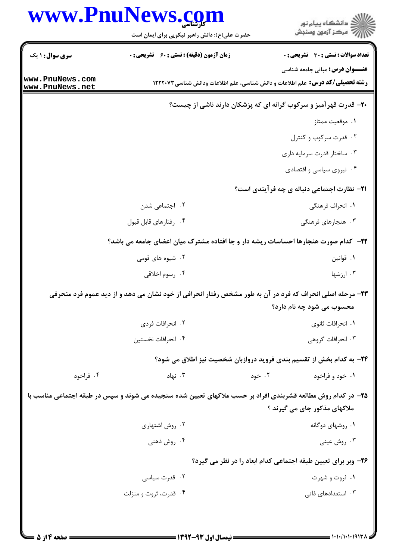|                 | حضرت علی(ع): دانش راهبر نیکویی برای ایمان است      | ڪ دانشڪاه پيا <sub>م</sub> نور<br>ر <i>7</i> مرڪز آزمون وسنڊش                                                                  |
|-----------------|----------------------------------------------------|--------------------------------------------------------------------------------------------------------------------------------|
| سری سوال: ۱ یک  | <b>زمان آزمون (دقیقه) : تستی : 60 ٪ تشریحی : 0</b> | تعداد سوالات : تستي : 30 ٪ تشريحي : 0                                                                                          |
| www.PnuNews.com |                                                    | <b>عنـــوان درس:</b> مبانی جامعه شناسی<br><b>رشته تحصیلی/کد درس:</b> علم اطلاعات و دانش شناسی، علم اطلاعات ودانش شناسی ۱۲۲۲۰۷۳ |
| www.PnuNews.net |                                                    | +۲- قدرت قهرآمیز و سرکوب گرانه ای که پزشکان دارند ناشی از چیست؟                                                                |
|                 |                                                    | ٠١. موقعيت ممتاز                                                                                                               |
|                 |                                                    | ۰۲ قدرت سرکوب و کنترل                                                                                                          |
|                 |                                                    | ۰۳ ساختار قدرت سرمایه داری                                                                                                     |
|                 |                                                    | ۰۴ نیروی سیاسی و اقتصادی                                                                                                       |
|                 |                                                    | <b>۲۱</b> - نظارت اجتماعی دنباله ی چه فرآیندی است؟                                                                             |
|                 | ۰۲ اجتماعی شدن                                     | ۰۱ انحراف فرهنگی                                                                                                               |
|                 | ۰۴ رفتارهای قابل قبول                              | ۰۳ هنجارهای فرهنگی                                                                                                             |
|                 |                                                    | ۲۲- کدام صورت هنجارها احساسات ریشه دار و جا افتاده مشترک میان اعضای جامعه می باشد؟                                             |
|                 | ۰۲ شیوه های قومی                                   | ۰۱ قوانين                                                                                                                      |
|                 | ۰۴ رسوم اخلاقی                                     | ۰۳ ارزشها                                                                                                                      |
|                 |                                                    | ۲۳- مرحله اصلی انحراف که فرد در آن به طور مشخص رفتار انحرافی از خود نشان می دهد و از دید عموم فرد منحرفی                       |
|                 |                                                    | محسوب می شود چه نام دارد؟                                                                                                      |
|                 | ۰۲ انحرافات فردی                                   | ٠١. انحرافات ثانوي                                                                                                             |
|                 | ۰۴ انحرافات نخستين                                 | ۰۳ انحرافات گروهی                                                                                                              |
|                 |                                                    | ۲۴- به کدام بخش از تقسیم بندی فروید دروازبان شخصیت نیز اطلاق می شود؟                                                           |
| ۰۴ فراخود       | ۰۳ نهاد                                            | ۰۲ خود<br>۰۱ خود و فراخود                                                                                                      |
|                 |                                                    | ۲۵- در کدام روش مطالعه قشربندی افراد بر حسب ملاکهای تعیین شده سنجیده می شوند و سپس در طبقه اجتماعی مناسب با                    |
|                 |                                                    | ملاکهای مذکور جای می گیرند ؟                                                                                                   |
|                 | ۰۲ روش اشتهاري                                     | ۰۱ روشهای دوگانه                                                                                                               |
|                 | ۰۴ روش ذهنی                                        | ۰۳ روش عینی                                                                                                                    |
|                 |                                                    | ۲۶- وبر برای تعیین طبقه اجتماعی کدام ابعاد را در نظر می گیرد؟                                                                  |
|                 | ۰۲ قدرت سیاسی                                      | ۰۱ ثروت و شهرت                                                                                                                 |
|                 | ۰۴ قدرت، ثروت و منزلت                              | ۰۳ استعدادهای ذاتی                                                                                                             |